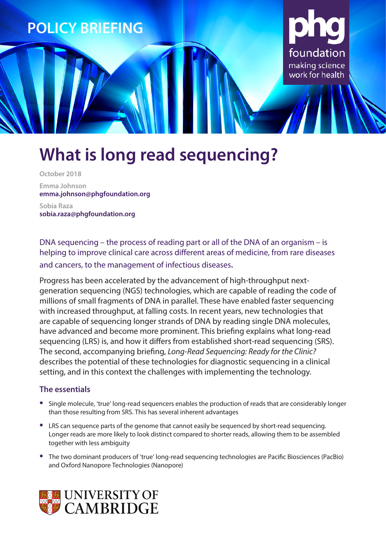

# **What is long read sequencing?**

**October 2018 Emma Johnson emma.johnson@phgfoundation.org Sobia Raza**

**sobia.raza@phgfoundation.org**

DNA sequencing – the process of reading part or all of the DNA of an organism – is helping to improve clinical care across different areas of medicine, from rare diseases and cancers, to the management of infectious diseases.

Progress has been accelerated by the advancement of high-throughput nextgeneration sequencing (NGS) technologies, which are capable of reading the code of millions of small fragments of DNA in parallel. These have enabled faster sequencing with increased throughput, at falling costs. In recent years, new technologies that are capable of sequencing longer strands of DNA by reading single DNA molecules, have advanced and become more prominent. This briefing explains what long-read sequencing (LRS) is, and how it differs from established short-read sequencing (SRS). The second, accompanying briefing, *Long-Read Sequencing: Ready for the Clinic?* describes the potential of these technologies for diagnostic sequencing in a clinical setting, and in this context the challenges with implementing the technology.

### **The essentials**

- **•** Single molecule, 'true' long-read sequencers enables the production of reads that are considerably longer than those resulting from SRS. This has several inherent advantages
- **•** LRS can sequence parts of the genome that cannot easily be sequenced by short-read sequencing. Longer reads are more likely to look distinct compared to shorter reads, allowing them to be assembled together with less ambiguity
- **•** The two dominant producers of 'true' long-read sequencing technologies are Pacific Biosciences (PacBio) and Oxford Nanopore Technologies (Nanopore)

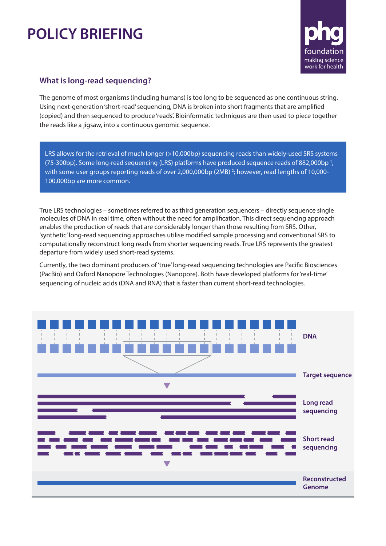## **POLICY BRIEFING**



### **What is long-read sequencing?**

The genome of most organisms (including humans) is too long to be sequenced as one continuous string. Using next-generation 'short-read' sequencing, DNA is broken into short fragments that are amplified (copied) and then sequenced to produce 'reads'. Bioinformatic techniques are then used to piece together the reads like a jigsaw, into a continuous genomic sequence.

LRS allows for the retrieval of much longer (>10,000bp) sequencing reads than widely-used SRS systems (75-300bp). Some long-read sequencing (LRS) platforms have produced sequence reads of 882,000bp 1 , with some user groups reporting reads of over 2,000,000bp (2MB) <sup>2</sup>; however, read lengths of 10,000-100,000bp are more common.

True LRS technologies – sometimes referred to as third generation sequencers – directly sequence single molecules of DNA in real time, often without the need for amplification. This direct sequencing approach enables the production of reads that are considerably longer than those resulting from SRS. Other, 'synthetic' long-read sequencing approaches utilise modified sample processing and conventional SRS to computationally reconstruct long reads from shorter sequencing reads. True LRS represents the greatest departure from widely used short-read systems.

Currently, the two dominant producers of 'true' long-read sequencing technologies are Pacific Biosciences (PacBio) and Oxford Nanopore Technologies (Nanopore). Both have developed platforms for 'real-time' sequencing of nucleic acids (DNA and RNA) that is faster than current short-read technologies.

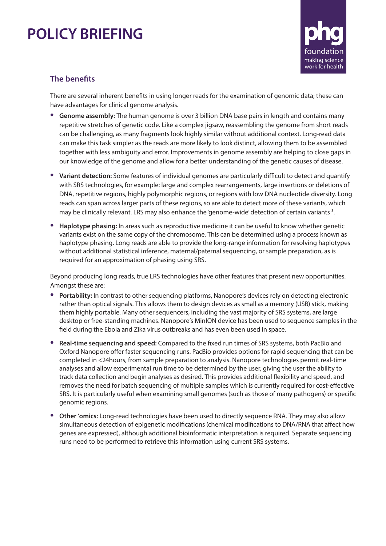## **POLICY BRIEFING**



### **The benefits**

There are several inherent benefits in using longer reads for the examination of genomic data; these can have advantages for clinical genome analysis.

- **• Genome assembly:** The human genome is over 3 billion DNA base pairs in length and contains many repetitive stretches of genetic code. Like a complex jigsaw, reassembling the genome from short reads can be challenging, as many fragments look highly similar without additional context. Long-read data can make this task simpler as the reads are more likely to look distinct, allowing them to be assembled together with less ambiguity and error. Improvements in genome assembly are helping to close gaps in our knowledge of the genome and allow for a better understanding of the genetic causes of disease.
- **• Variant detection:** Some features of individual genomes are particularly difficult to detect and quantify with SRS technologies, for example: large and complex rearrangements, large insertions or deletions of DNA, repetitive regions, highly polymorphic regions, or regions with low DNA nucleotide diversity. Long reads can span across larger parts of these regions, so are able to detect more of these variants, which may be clinically relevant. LRS may also enhance the 'genome-wide' detection of certain variants<sup>3</sup>.
- **• Haplotype phasing:** In areas such as reproductive medicine it can be useful to know whether genetic variants exist on the same copy of the chromosome. This can be determined using a process known as haplotype phasing. Long reads are able to provide the long-range information for resolving haplotypes without additional statistical inference, maternal/paternal sequencing, or sample preparation, as is required for an approximation of phasing using SRS.

Beyond producing long reads, true LRS technologies have other features that present new opportunities. Amongst these are:

- **• Portability:** In contrast to other sequencing platforms, Nanopore's devices rely on detecting electronic rather than optical signals. This allows them to design devices as small as a memory (USB) stick, making them highly portable. Many other sequencers, including the vast majority of SRS systems, are large desktop or free-standing machines. Nanopore's MinION device has been used to sequence samples in the field during the Ebola and Zika virus outbreaks and has even been used in space.
- **• Real-time sequencing and speed:** Compared to the fixed run times of SRS systems, both PacBio and Oxford Nanopore offer faster sequencing runs. PacBio provides options for rapid sequencing that can be completed in <24hours, from sample preparation to analysis. Nanopore technologies permit real-time analyses and allow experimental run time to be determined by the user, giving the user the ability to track data collection and begin analyses as desired. This provides additional flexibility and speed, and removes the need for batch sequencing of multiple samples which is currently required for cost-effective SRS. It is particularly useful when examining small genomes (such as those of many pathogens) or specific genomic regions.
- **• Other 'omics:** Long-read technologies have been used to directly sequence RNA. They may also allow simultaneous detection of epigenetic modifications (chemical modifications to DNA/RNA that affect how genes are expressed), although additional bioinformatic interpretation is required. Separate sequencing runs need to be performed to retrieve this information using current SRS systems.